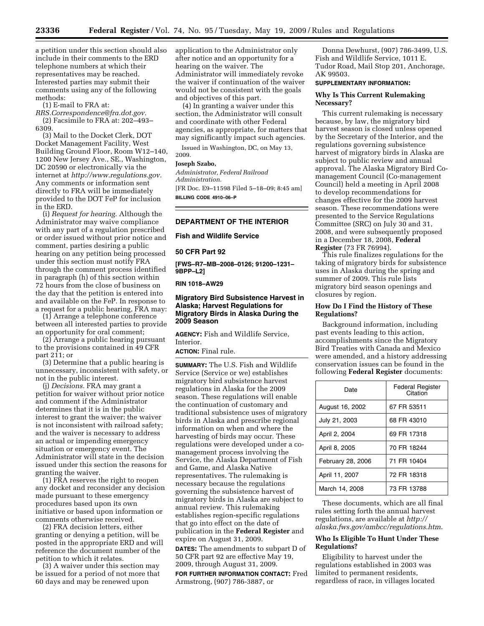a petition under this section should also include in their comments to the ERD telephone numbers at which their representatives may be reached. Interested parties may submit their comments using any of the following methods:

(1) E-mail to FRA at:

*[RRS.Correspondence@fra.dot.gov.](mailto:RRS.Correspondence@fra.dot.gov)*  (2) Facsimile to FRA at: 202–493– 6309.

(3) Mail to the Docket Clerk, DOT Docket Management Facility, West Building Ground Floor, Room W12–140, 1200 New Jersey Ave., SE., Washington, DC 20590 or electronically via the internet at *[http://www.regulations.gov.](http://www.regulations.gov)*  Any comments or information sent directly to FRA will be immediately provided to the DOT FeP for inclusion in the ERD.

(i) *Request for hearing.* Although the Administrator may waive compliance with any part of a regulation prescribed or order issued without prior notice and comment, parties desiring a public hearing on any petition being processed under this section must notify FRA through the comment process identified in paragraph (h) of this section within 72 hours from the close of business on the day that the petition is entered into and available on the FeP. In response to a request for a public hearing, FRA may:

(1) Arrange a telephone conference between all interested parties to provide an opportunity for oral comment;

(2) Arrange a public hearing pursuant to the provisions contained in 49 CFR part 211; or

(3) Determine that a public hearing is unnecessary, inconsistent with safety, or not in the public interest.

(j) *Decisions.* FRA may grant a petition for waiver without prior notice and comment if the Administrator determines that it is in the public interest to grant the waiver; the waiver is not inconsistent with railroad safety; and the waiver is necessary to address an actual or impending emergency situation or emergency event. The Administrator will state in the decision issued under this section the reasons for granting the waiver.

(1) FRA reserves the right to reopen any docket and reconsider any decision made pursuant to these emergency procedures based upon its own initiative or based upon information or comments otherwise received.

(2) FRA decision letters, either granting or denying a petition, will be posted in the appropriate ERD and will reference the document number of the petition to which it relates.

(3) A waiver under this section may be issued for a period of not more that 60 days and may be renewed upon

application to the Administrator only after notice and an opportunity for a hearing on the waiver. The Administrator will immediately revoke the waiver if continuation of the waiver would not be consistent with the goals and objectives of this part.

(4) In granting a waiver under this section, the Administrator will consult and coordinate with other Federal agencies, as appropriate, for matters that may significantly impact such agencies.

Issued in Washington, DC, on May 13, 2009.

#### **Joseph Szabo,**

*Administrator, Federal Railroad Administration.*  [FR Doc. E9–11598 Filed 5–18–09; 8:45 am] **BILLING CODE 4910–06–P** 

# **DEPARTMENT OF THE INTERIOR**

**Fish and Wildlife Service** 

#### **50 CFR Part 92**

**[FWS–R7–MB–2008–0126; 91200–1231– 9BPP–L2]** 

#### **RIN 1018–AW29**

### **Migratory Bird Subsistence Harvest in Alaska; Harvest Regulations for Migratory Birds in Alaska During the 2009 Season**

**AGENCY:** Fish and Wildlife Service, Interior.

# **ACTION:** Final rule.

**SUMMARY:** The U.S. Fish and Wildlife Service (Service or we) establishes migratory bird subsistence harvest regulations in Alaska for the 2009 season. These regulations will enable the continuation of customary and traditional subsistence uses of migratory birds in Alaska and prescribe regional information on when and where the harvesting of birds may occur. These regulations were developed under a comanagement process involving the Service, the Alaska Department of Fish and Game, and Alaska Native representatives. The rulemaking is necessary because the regulations governing the subsistence harvest of migratory birds in Alaska are subject to annual review. This rulemaking establishes region-specific regulations that go into effect on the date of publication in the **Federal Register** and expire on August 31, 2009.

**DATES:** The amendments to subpart D of 50 CFR part 92 are effective May 19, 2009, through August 31, 2009.

**FOR FURTHER INFORMATION CONTACT:** Fred Armstrong, (907) 786-3887, or

Donna Dewhurst, (907) 786-3499, U.S. Fish and Wildlife Service, 1011 E. Tudor Road, Mail Stop 201, Anchorage, AK 99503.

# **SUPPLEMENTARY INFORMATION:**

# **Why Is This Current Rulemaking Necessary?**

This current rulemaking is necessary because, by law, the migratory bird harvest season is closed unless opened by the Secretary of the Interior, and the regulations governing subsistence harvest of migratory birds in Alaska are subject to public review and annual approval. The Alaska Migratory Bird Comanagement Council (Co-management Council) held a meeting in April 2008 to develop recommendations for changes effective for the 2009 harvest season. These recommendations were presented to the Service Regulations Committee (SRC) on July 30 and 31, 2008, and were subsequently proposed in a December 18, 2008, **Federal Register** (73 FR 76994).

This rule finalizes regulations for the taking of migratory birds for subsistence uses in Alaska during the spring and summer of 2009. This rule lists migratory bird season openings and closures by region.

### **How Do I Find the History of These Regulations?**

Background information, including past events leading to this action, accomplishments since the Migratory Bird Treaties with Canada and Mexico were amended, and a history addressing conservation issues can be found in the following **Federal Register** documents:

| Date              | <b>Federal Register</b><br>Citation |
|-------------------|-------------------------------------|
| August 16, 2002   | 67 FR 53511                         |
| July 21, 2003     | 68 FR 43010                         |
| April 2, 2004     | 69 FR 17318                         |
| April 8, 2005     | 70 FR 18244                         |
| February 28, 2006 | 71 FR 10404                         |
| April 11, 2007    | 72 FR 18318                         |
| March 14, 2008    | 73 FR 13788                         |

These documents, which are all final rules setting forth the annual harvest regulations, are available at *http:// [alaska.fws.gov/ambcc/regulations.htm](http://alaska.fws.gov/ambcc/regulations.htm)*.

# **Who Is Eligible To Hunt Under These Regulations?**

Eligibility to harvest under the regulations established in 2003 was limited to permanent residents, regardless of race, in villages located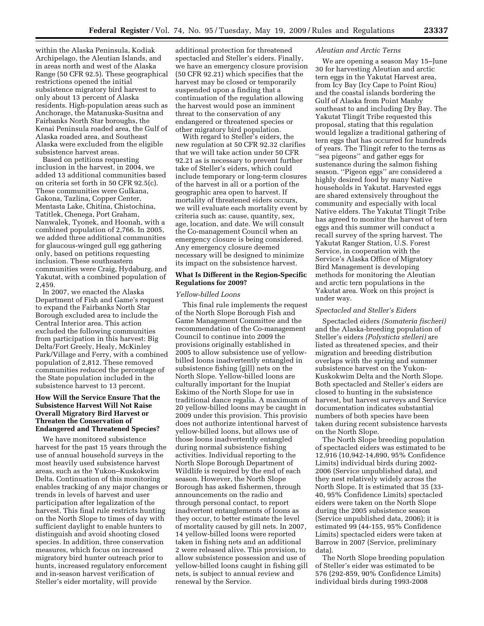within the Alaska Peninsula, Kodiak Archipelago, the Aleutian Islands, and in areas north and west of the Alaska Range (50 CFR 92.5). These geographical restrictions opened the initial subsistence migratory bird harvest to only about 13 percent of Alaska residents. High-population areas such as Anchorage, the Matanuska-Susitna and Fairbanks North Star boroughs, the Kenai Peninsula roaded area, the Gulf of Alaska roaded area, and Southeast Alaska were excluded from the eligible subsistence harvest areas.

Based on petitions requesting inclusion in the harvest, in 2004, we added 13 additional communities based on criteria set forth in 50 CFR 92.5(c). These communities were Gulkana, Gakona, Tazlina, Copper Center, Mentasta Lake, Chitina, Chistochina, Tatitlek, Chenega, Port Graham, Nanwalek, Tyonek, and Hoonah, with a combined population of 2,766. In 2005, we added three additional communities for glaucous-winged gull egg gathering only, based on petitions requesting inclusion. These southeastern communities were Craig, Hydaburg, and Yakutat, with a combined population of 2,459.

In 2007, we enacted the Alaska Department of Fish and Game's request to expand the Fairbanks North Star Borough excluded area to include the Central Interior area. This action excluded the following communities from participation in this harvest: Big Delta/Fort Greely, Healy, McKinley Park/Village and Ferry, with a combined population of 2,812. These removed communities reduced the percentage of the State population included in the subsistence harvest to 13 percent.

# **How Will the Service Ensure That the Subsistence Harvest Will Not Raise Overall Migratory Bird Harvest or Threaten the Conservation of Endangered and Threatened Species?**

We have monitored subsistence harvest for the past 15 years through the use of annual household surveys in the most heavily used subsistence harvest areas, such as the Yukon–Kuskokwim Delta. Continuation of this monitoring enables tracking of any major changes or trends in levels of harvest and user participation after legalization of the harvest. This final rule restricts hunting on the North Slope to times of day with sufficient daylight to enable hunters to distinguish and avoid shooting closed species. In addition, three conservation measures, which focus on increased migratory bird hunter outreach prior to hunts, increased regulatory enforcement and in-season harvest verification of Steller's eider mortality, will provide

additional protection for threatened spectacled and Steller's eiders. Finally, we have an emergency closure provision (50 CFR 92.21) which specifies that the harvest may be closed or temporarily suspended upon a finding that a continuation of the regulation allowing the harvest would pose an imminent threat to the conservation of any endangered or threatened species or other migratory bird population.

With regard to Steller's eiders, the new regulation at 50 CFR 92.32 clarifies that we will take action under 50 CFR 92.21 as is necessary to prevent further take of Steller's eiders, which could include temporary or long-term closures of the harvest in all or a portion of the geographic area open to harvest. If mortality of threatened eiders occurs, we will evaluate each mortality event by criteria such as: cause, quantity, sex, age, location, and date. We will consult the Co-management Council when an emergency closure is being considered. Any emergency closure deemed necessary will be designed to minimize its impact on the subsistence harvest.

### **What Is Different in the Region-Specific Regulations for 2009?**

# *Yellow-billed Loons*

This final rule implements the request of the North Slope Borough Fish and Game Management Committee and the recommendation of the Co-management Council to continue into 2009 the provisions originally established in 2005 to allow subsistence use of yellowbilled loons inadvertently entangled in subsistence fishing (gill) nets on the North Slope. Yellow-billed loons are culturally important for the Inupiat Eskimo of the North Slope for use in traditional dance regalia. A maximum of 20 yellow-billed loons may be caught in 2009 under this provision. This provisio does not authorize intentional harvest of yellow-billed loons, but allows use of those loons inadvertently entangled during normal subsistence fishing activities. Individual reporting to the North Slope Borough Department of Wildlife is required by the end of each season. However, the North Slope Borough has asked fishermen, through announcements on the radio and through personal contact, to report inadvertent entanglements of loons as they occur, to better estimate the level of mortality caused by gill nets. In 2007, 14 yellow-billed loons were reported taken in fishing nets and an additional 2 were released alive. This provision, to allow subsistence possession and use of yellow-billed loons caught in fishing gill nets, is subject to annual review and renewal by the Service.

#### *Aleutian and Arctic Terns*

We are opening a season May 15–June 30 for harvesting Aleutian and arctic tern eggs in the Yakutat Harvest area, from Icy Bay (Icy Cape to Point Riou) and the coastal islands bordering the Gulf of Alaska from Point Manby southeast to and including Dry Bay. The Yakutat Tlingit Tribe requested this proposal, stating that this regulation would legalize a traditional gathering of tern eggs that has occurred for hundreds of years. The Tlingit refer to the terns as ''sea pigeons'' and gather eggs for sustenance during the salmon fishing season. ''Pigeon eggs'' are considered a highly desired food by many Native households in Yakutat. Harvested eggs are shared extensively throughout the community and especially with local Native elders. The Yakutat Tlingit Tribe has agreed to monitor the harvest of tern eggs and this summer will conduct a recall survey of the spring harvest. The Yakutat Ranger Station, U.S. Forest Service, in cooperation with the Service's Alaska Office of Migratory Bird Management is developing methods for monitoring the Aleutian and arctic tern populations in the Yakutat area. Work on this project is under way.

#### *Spectacled and Steller's Eiders*

Spectacled eiders *(Somateria fischeri)*  and the Alaska-breeding population of Steller's eiders *(Polysticta stelleri)* are listed as threatened species, and their migration and breeding distribution overlaps with the spring and summer subsistence harvest on the Yukon-Kuskokwim Delta and the North Slope. Both spectacled and Steller's eiders are closed to hunting in the subsistence harvest, but harvest surveys and Service documentation indicates substantial numbers of both species have been taken during recent subsistence harvests on the North Slope.

The North Slope breeding population of spectacled eiders was estimated to be 12,916 (10,942-14,890, 95% Confidence Limits) individual birds during 2002- 2006 (Service unpublished data), and they nest relatively widely across the North Slope. It is estimated that 35 (33- 40, 95% Confidence Limits) spectacled eiders were taken on the North Slope during the 2005 subsistence season (Service unpublished data, 2006); it is estimated 99 (44-155, 95% Confidence Limits) spectacled eiders were taken at Barrow in 2007 (Service, preliminary data).

The North Slope breeding population of Steller's eider was estimated to be 576 (292-859, 90% Confidence Limits) individual birds during 1993-2008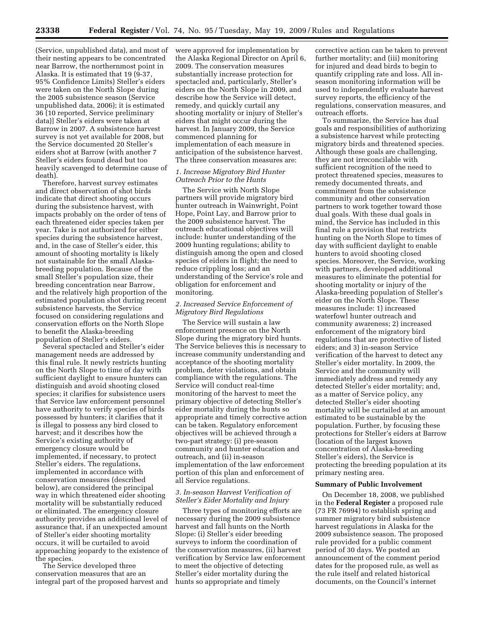(Service, unpublished data), and most of their nesting appears to be concentrated near Barrow, the northernmost point in Alaska. It is estimated that 19 (9-37, 95% Confidence Limits) Steller's eiders were taken on the North Slope during the 2005 subsistence season (Service unpublished data, 2006); it is estimated 36 (10 reported, Service preliminary data)] Steller's eiders were taken at Barrow in 2007. A subsistence harvest survey is not yet available for 2008, but the Service documented 20 Steller's eiders shot at Barrow (with another 7 Steller's eiders found dead but too heavily scavenged to determine cause of death).

Therefore, harvest survey estimates and direct observation of shot birds indicate that direct shooting occurs during the subsistence harvest, with impacts probably on the order of tens of each threatened eider species taken per year. Take is not authorized for either species during the subsistence harvest, and, in the case of Steller's eider, this amount of shooting mortality is likely not sustainable for the small Alaskabreeding population. Because of the small Steller's population size, their breeding concentration near Barrow, and the relatively high proportion of the estimated population shot during recent subsistence harvests, the Service focused on considering regulations and conservation efforts on the North Slope to benefit the Alaska-breeding population of Steller's eiders.

Several spectacled and Steller's eider management needs are addressed by this final rule. It newly restricts hunting on the North Slope to time of day with sufficient daylight to ensure hunters can distinguish and avoid shooting closed species; it clarifies for subsistence users that Service law enforcement personnel have authority to verify species of birds possessed by hunters; it clarifies that it is illegal to possess any bird closed to harvest; and it describes how the Service's existing authority of emergency closure would be implemented, if necessary, to protect Steller's eiders. The regulations, implemented in accordance with conservation measures (described below), are considered the principal way in which threatened eider shooting mortality will be substantially reduced or eliminated. The emergency closure authority provides an additional level of assurance that, if an unexpected amount of Steller's eider shooting mortality occurs, it will be curtailed to avoid approaching jeopardy to the existence of the species.

The Service developed three conservation measures that are an integral part of the proposed harvest and were approved for implementation by the Alaska Regional Director on April 6, 2009. The conservation measures substantially increase protection for spectacled and, particularly, Steller's eiders on the North Slope in 2009, and describe how the Service will detect, remedy, and quickly curtail any shooting mortality or injury of Steller's eiders that might occur during the harvest. In January 2009, the Service commenced planning for implementation of each measure in anticipation of the subsistence harvest. The three conservation measures are:

### *1. Increase Migratory Bird Hunter Outreach Prior to the Hunts*

The Service with North Slope partners will provide migratory bird hunter outreach in Wainwright, Point Hope, Point Lay, and Barrow prior to the 2009 subsistence harvest. The outreach educational objectives will include: hunter understanding of the 2009 hunting regulations; ability to distinguish among the open and closed species of eiders in flight; the need to reduce crippling loss; and an understanding of the Service's role and obligation for enforcement and monitoring.

### *2. Increased Service Enforcement of Migratory Bird Regulations*

The Service will sustain a law enforcement presence on the North Slope during the migratory bird hunts. The Service believes this is necessary to increase community understanding and acceptance of the shooting mortality problem, deter violations, and obtain compliance with the regulations. The Service will conduct real-time monitoring of the harvest to meet the primary objective of detecting Steller's eider mortality during the hunts so appropriate and timely corrective action can be taken. Regulatory enforcement objectives will be achieved through a two-part strategy: (i) pre-season community and hunter education and outreach, and (ii) in-season implementation of the law enforcement portion of this plan and enforcement of all Service regulations.

# *3. In-season Harvest Verification of Steller's Eider Mortality and Injury*

Three types of monitoring efforts are necessary during the 2009 subsistence harvest and fall hunts on the North Slope: (i) Steller's eider breeding surveys to inform the coordination of the conservation measures, (ii) harvest verification by Service law enforcement to meet the objective of detecting Steller's eider mortality during the hunts so appropriate and timely

corrective action can be taken to prevent further mortality; and (iii) monitoring for injured and dead birds to begin to quantify crippling rate and loss. All inseason monitoring information will be used to independently evaluate harvest survey reports, the efficiency of the regulations, conservation measures, and outreach efforts.

To summarize, the Service has dual goals and responsibilities of authorizing a subsistence harvest while protecting migratory birds and threatened species. Although these goals are challenging, they are not irreconcilable with sufficient recognition of the need to protect threatened species, measures to remedy documented threats, and commitment from the subsistence community and other conservation partners to work together toward those dual goals. With these dual goals in mind, the Service has included in this final rule a provision that restricts hunting on the North Slope to times of day with sufficient daylight to enable hunters to avoid shooting closed species. Moreover, the Service, working with partners, developed additional measures to eliminate the potential for shooting mortality or injury of the Alaska-breeding population of Steller's eider on the North Slope. These measures include: 1) increased waterfowl hunter outreach and community awareness; 2) increased enforcement of the migratory bird regulations that are protective of listed eiders; and 3) in-season Service verification of the harvest to detect any Steller's eider mortality. In 2009, the Service and the community will immediately address and remedy any detected Steller's eider mortality; and, as a matter of Service policy, any detected Steller's eider shooting mortality will be curtailed at an amount estimated to be sustainable by the population. Further, by focusing these protections for Steller's eiders at Barrow (location of the largest known concentration of Alaska-breeding Steller's eiders), the Service is protecting the breeding population at its primary nesting area.

#### **Summary of Public Involvement**

On December 18, 2008, we published in the **Federal Register** a proposed rule (73 FR 76994) to establish spring and summer migratory bird subsistence harvest regulations in Alaska for the 2009 subsistence season. The proposed rule provided for a public comment period of 30 days. We posted an announcement of the comment period dates for the proposed rule, as well as the rule itself and related historical documents, on the Council's internet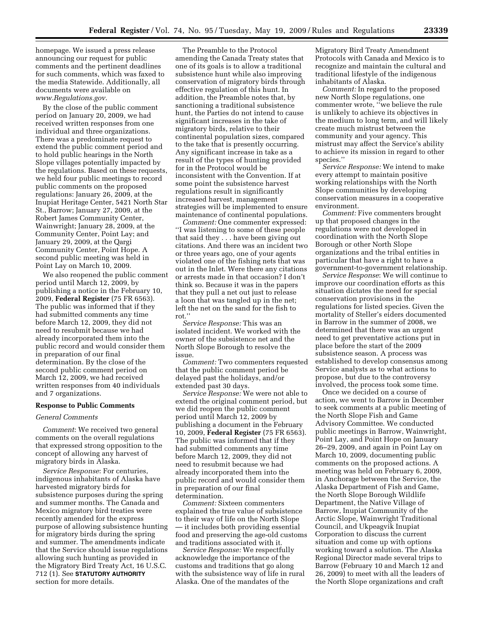homepage. We issued a press release announcing our request for public comments and the pertinent deadlines for such comments, which was faxed to the media Statewide. Additionally, all documents were available on *[www.Regulations.gov](http://www.Regulations.gov)*.

By the close of the public comment period on January 20, 2009, we had received written responses from one individual and three organizations. There was a predominate request to extend the public comment period and to hold public hearings in the North Slope villages potentially impacted by the regulations. Based on these requests, we held four public meetings to record public comments on the proposed regulations: January 26, 2009, at the Inupiat Heritage Center, 5421 North Star St., Barrow; January 27, 2009, at the Robert James Community Center, Wainwright; January 28, 2009, at the Community Center, Point Lay; and January 29, 2009, at the Qargi Community Center, Point Hope. A second public meeting was held in Point Lay on March 10, 2009.

We also reopened the public comment period until March 12, 2009, by publishing a notice in the February 10, 2009, **Federal Register** (75 FR 6563). The public was informed that if they had submitted comments any time before March 12, 2009, they did not need to resubmit because we had already incorporated them into the public record and would consider them in preparation of our final determination. By the close of the second public comment period on March 12, 2009, we had received written responses from 40 individuals and 7 organizations.

#### **Response to Public Comments**

#### *General Comments*

*Comment*: We received two general comments on the overall regulations that expressed strong opposition to the concept of allowing any harvest of migratory birds in Alaska.

*Service Response*: For centuries, indigenous inhabitants of Alaska have harvested migratory birds for subsistence purposes during the spring and summer months. The Canada and Mexico migratory bird treaties were recently amended for the express purpose of allowing subsistence hunting for migratory birds during the spring and summer. The amendments indicate that the Service should issue regulations allowing such hunting as provided in the Migratory Bird Treaty Act, 16 U.S.C. 712 (1). See **STATUTORY AUTHORITY** section for more details.

The Preamble to the Protocol amending the Canada Treaty states that one of its goals is to allow a traditional subsistence hunt while also improving conservation of migratory birds through effective regulation of this hunt. In addition, the Preamble notes that, by sanctioning a traditional subsistence hunt, the Parties do not intend to cause significant increases in the take of migratory birds, relative to their continental population sizes, compared to the take that is presently occurring. Any significant increase in take as a result of the types of hunting provided for in the Protocol would be inconsistent with the Convention. If at some point the subsistence harvest regulations result in significantly increased harvest, management strategies will be implemented to ensure maintenance of continental populations.

*Comment:* One commenter expressed: ''I was listening to some of these people that said they . . . have been giving out citations. And there was an incident two or three years ago, one of your agents violated one of the fishing nets that was out in the Inlet. Were there any citations or arrests made in that occasion? I don't think so. Because it was in the papers that they pull a net out just to release a loon that was tangled up in the net; left the net on the sand for the fish to rot.''

*Service Response:* This was an isolated incident. We worked with the owner of the subsistence net and the North Slope Borough to resolve the issue.

*Comment:* Two commenters requested that the public comment period be delayed past the holidays, and/or extended past 30 days.

*Service Response:* We were not able to extend the original comment period, but we did reopen the public comment period until March 12, 2009 by publishing a document in the February 10, 2009, **Federal Register** (75 FR 6563). The public was informed that if they had submitted comments any time before March 12, 2009, they did not need to resubmit because we had already incorporated them into the public record and would consider them in preparation of our final determination.

*Comment:* Sixteen commenters explained the true value of subsistence to their way of life on the North Slope — it includes both providing essential food and preserving the age-old customs and traditions associated with it.

*Service Response:* We respectfully acknowledge the importance of the customs and traditions that go along with the subsistence way of life in rural Alaska. One of the mandates of the

Migratory Bird Treaty Amendment Protocols with Canada and Mexico is to recognize and maintain the cultural and traditional lifestyle of the indigenous inhabitants of Alaska.

*Comment:* In regard to the proposed new North Slope regulations, one commenter wrote, ''we believe the rule is unlikely to achieve its objectives in the medium to long term, and will likely create much mistrust between the community and your agency. This mistrust may affect the Service's ability to achieve its mission in regard to other species.''

*Service Response:* We intend to make every attempt to maintain positive working relationships with the North Slope communities by developing conservation measures in a cooperative environment.

*Comment:* Five commenters brought up that proposed changes in the regulations were not developed in coordination with the North Slope Borough or other North Slope organizations and the tribal entities in particular that have a right to have a government-to-government relationship.

*Service Response*: We will continue to improve our coordination efforts as this situation dictates the need for special conservation provisions in the regulations for listed species. Given the mortality of Steller's eiders documented in Barrow in the summer of 2008, we determined that there was an urgent need to get preventative actions put in place before the start of the 2009 subsistence season. A process was established to develop consensus among Service analysts as to what actions to propose, but due to the controversy involved, the process took some time.

Once we decided on a course of action, we went to Barrow in December to seek comments at a public meeting of the North Slope Fish and Game Advisory Committee. We conducted public meetings in Barrow, Wainwright, Point Lay, and Point Hope on January 26–29, 2009, and again in Point Lay on March 10, 2009, documenting public comments on the proposed actions. A meeting was held on February 6, 2009, in Anchorage between the Service, the Alaska Department of Fish and Game, the North Slope Borough Wildlife Department, the Native Village of Barrow, Inupiat Community of the Arctic Slope, Wainwright Traditional Council, and Ukpeagvik Inupiat Corporation to discuss the current situation and come up with options working toward a solution. The Alaska Regional Director made several trips to Barrow (February 10 and March 12 and 26, 2009) to meet with all the leaders of the North Slope organizations and craft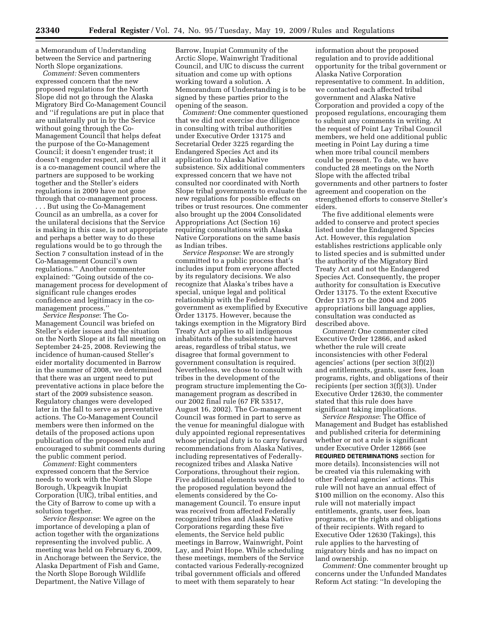a Memorandum of Understanding between the Service and partnering North Slope organizations.

*Comment:* Seven commenters expressed concern that the new proposed regulations for the North Slope did not go through the Alaska Migratory Bird Co-Management Council and ''if regulations are put in place that are unilaterally put in by the Service without going through the Co-Management Council that helps defeat the purpose of the Co-Management Council; it doesn't engender trust; it doesn't engender respect, and after all it is a co-management council where the partners are supposed to be working together and the Steller's eiders regulations in 2009 have not gone through that co-management process.

. . . But using the Co-Management Council as an umbrella, as a cover for the unilateral decisions that the Service is making in this case, is not appropriate and perhaps a better way to do these regulations would be to go through the Section 7 consultation instead of in the Co-Management Council's own regulations.'' Another commenter explained: ''Going outside of the comanagement process for development of significant rule changes erodes confidence and legitimacy in the comanagement process.''

*Service Response*: The Co-Management Council was briefed on Steller's eider issues and the situation on the North Slope at its fall meeting on September 24-25, 2008. Reviewing the incidence of human-caused Steller's eider mortality documented in Barrow in the summer of 2008, we determined that there was an urgent need to put preventative actions in place before the start of the 2009 subsistence season. Regulatory changes were developed later in the fall to serve as preventative actions. The Co-Management Council members were then informed on the details of the proposed actions upon publication of the proposed rule and encouraged to submit comments during the public comment period.

*Comment:* Eight commenters expressed concern that the Service needs to work with the North Slope Borough, Ukpeagvik Inupiat Corporation (UIC), tribal entities, and the City of Barrow to come up with a solution together.

*Service Response*: We agree on the importance of developing a plan of action together with the organizations representing the involved public. A meeting was held on February 6, 2009, in Anchorage between the Service, the Alaska Department of Fish and Game, the North Slope Borough Wildlife Department, the Native Village of

Barrow, Inupiat Community of the Arctic Slope, Wainwright Traditional Council, and UIC to discuss the current situation and come up with options working toward a solution. A Memorandum of Understanding is to be signed by these parties prior to the opening of the season.

*Comment:* One commenter questioned that we did not exercise due diligence in consulting with tribal authorities under Executive Order 13175 and Secretarial Order 3225 regarding the Endangered Species Act and its application to Alaska Native subsistence. Six additional commenters expressed concern that we have not consulted nor coordinated with North Slope tribal governments to evaluate the new regulations for possible effects on tribes or trust resources. One commenter also brought up the 2004 Consolidated Appropriations Act (Section 16) requiring consultations with Alaska Native Corporations on the same basis as Indian tribes.

*Service Response*: We are strongly committed to a public process that's includes input from everyone affected by its regulatory decisions. We also recognize that Alaska's tribes have a special, unique legal and political relationship with the Federal government as exemplified by Executive Order 13175. However, because the takings exemption in the Migratory Bird Treaty Act applies to all indigenous inhabitants of the subsistence harvest areas, regardless of tribal status, we disagree that formal government to government consultation is required. Nevertheless, we chose to consult with tribes in the development of the program structure implementing the Comanagement program as described in our 2002 final rule (67 FR 53517, August 16, 2002). The Co-management Council was formed in part to serve as the venue for meaningful dialogue with duly appointed regional representatives whose principal duty is to carry forward recommendations from Alaska Natives, including representatives of Federallyrecognized tribes and Alaska Native Corporations, throughout their region. Five additional elements were added to the proposed regulation beyond the elements considered by the Comanagement Council. To ensure input was received from affected Federally recognized tribes and Alaska Native Corporations regarding these five elements, the Service held public meetings in Barrow, Wainwright, Point Lay, and Point Hope. While scheduling these meetings, members of the Service contacted various Federally-recognized tribal government officials and offered to meet with them separately to hear

information about the proposed regulation and to provide additional opportunity for the tribal government or Alaska Native Corporation representative to comment. In addition, we contacted each affected tribal government and Alaska Native Corporation and provided a copy of the proposed regulations, encouraging them to submit any comments in writing. At the request of Point Lay Tribal Council members, we held one additional public meeting in Point Lay during a time when more tribal council members could be present. To date, we have conducted 28 meetings on the North Slope with the affected tribal governments and other partners to foster agreement and cooperation on the strengthened efforts to conserve Steller's eiders.

The five additional elements were added to conserve and protect species listed under the Endangered Species Act. However, this regulation establishes restrictions applicable only to listed species and is submitted under the authority of the Migratory Bird Treaty Act and not the Endangered Species Act. Consequently, the proper authority for consultation is Executive Order 13175. To the extent Executive Order 13175 or the 2004 and 2005 appropriations bill language applies, consultation was conducted as described above.

*Comment:* One commenter cited Executive Order 12866, and asked whether the rule will create inconsistencies with other Federal agencies' actions (per section 3(f)(2)) and entitlements, grants, user fees, loan programs, rights, and obligations of their recipients (per section 3(f)(3)). Under Executive Order 12630, the commenter stated that this rule does have significant taking implications.

*Service Response*: The Office of Management and Budget has established and published criteria for determining whether or not a rule is significant under Executive Order 12866 (see **REQUIRED DETERMINATIONS** section for more details). Inconsistencies will not be created via this rulemaking with other Federal agencies' actions. This rule will not have an annual effect of \$100 million on the economy. Also this rule will not materially impact entitlements, grants, user fees, loan programs, or the rights and obligations of their recipients. With regard to Executive Oder 12630 (Takings), this rule applies to the harvesting of migratory birds and has no impact on land ownership.

*Comment:* One commenter brought up concerns under the Unfunded Mandates Reform Act stating: ''In developing the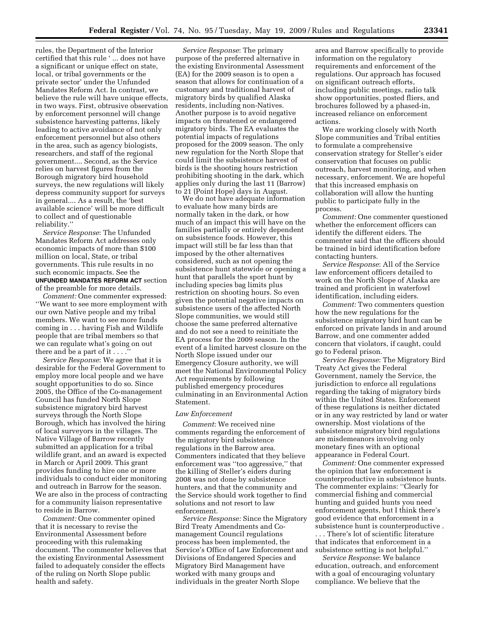rules, the Department of the Interior certified that this rule ' ... does not have a significant or unique effect on state, local, or tribal governments or the private sector' under the Unfunded Mandates Reform Act. In contrast, we believe the rule will have unique effects, in two ways. First, obtrusive observation by enforcement personnel will change subsistence harvesting patterns, likely leading to active avoidance of not only enforcement personnel but also others in the area, such as agency biologists, researchers, and staff of the regional government.... Second, as the Service relies on harvest figures from the Borough migratory bird household surveys, the new regulations will likely depress community support for surveys in general.... As a result, the 'best available science' will be more difficult to collect and of questionable reliability.''

*Service Response*: The Unfunded Mandates Reform Act addresses only economic impacts of more than \$100 million on local, State, or tribal governments. This rule results in no such economic impacts. See the **UNFUNDED MANDATES REFORM ACT** section of the preamble for more details.

*Comment:* One commenter expressed: ''We want to see more employment with our own Native people and my tribal members. We want to see more funds coming in . . . having Fish and Wildlife people that are tribal members so that we can regulate what's going on out there and be a part of it  $\ldots$ .

*Service Response*: We agree that it is desirable for the Federal Government to employ more local people and we have sought opportunities to do so. Since 2005, the Office of the Co-management Council has funded North Slope subsistence migratory bird harvest surveys through the North Slope Borough, which has involved the hiring of local surveyors in the villages. The Native Village of Barrow recently submitted an application for a tribal wildlife grant, and an award is expected in March or April 2009. This grant provides funding to hire one or more individuals to conduct eider monitoring and outreach in Barrow for the season. We are also in the process of contracting for a community liaison representative to reside in Barrow.

*Comment:* One commenter opined that it is necessary to revise the Environmental Assessment before proceeding with this rulemaking document. The commenter believes that the existing Environmental Assessment failed to adequately consider the effects of the ruling on North Slope public health and safety.

*Service Response*: The primary purpose of the preferred alternative in the existing Environmental Assessment (EA) for the 2009 season is to open a season that allows for continuation of a customary and traditional harvest of migratory birds by qualified Alaska residents, including non-Natives. Another purpose is to avoid negative impacts on threatened or endangered migratory birds. The EA evaluates the potential impacts of regulations proposed for the 2009 season. The only new regulation for the North Slope that could limit the subsistence harvest of birds is the shooting hours restriction prohibiting shooting in the dark, which applies only during the last 11 (Barrow) to 21 (Point Hope) days in August.

We do not have adequate information to evaluate how many birds are normally taken in the dark, or how much of an impact this will have on the families partially or entirely dependent on subsistence foods. However, this impact will still be far less than that imposed by the other alternatives considered, such as not opening the subsistence hunt statewide or opening a hunt that parallels the sport hunt by including species bag limits plus restriction on shooting hours. So even given the potential negative impacts on subsistence users of the affected North Slope communities, we would still choose the same preferred alternative and do not see a need to reinitiate the EA process for the 2009 season. In the event of a limited harvest closure on the North Slope issued under our Emergency Closure authority, we will meet the National Environmental Policy Act requirements by following published emergency procedures culminating in an Environmental Action Statement.

#### *Law Enforcement*

*Comment*: We received nine comments regarding the enforcement of the migratory bird subsistence regulations in the Barrow area. Commenters indicated that they believe enforcement was ''too aggressive,'' that the killing of Steller's eiders during 2008 was not done by subsistence hunters, and that the community and the Service should work together to find solutions and not resort to law enforcement.

*Service Response:* Since the Migratory Bird Treaty Amendments and Comanagement Council regulations process has been implemented, the Service's Office of Law Enforcement and Divisions of Endangered Species and Migratory Bird Management have worked with many groups and individuals in the greater North Slope

area and Barrow specifically to provide information on the regulatory requirements and enforcement of the regulations. Our approach has focused on significant outreach efforts, including public meetings, radio talk show opportunities, posted fliers, and brochures followed by a phased-in, increased reliance on enforcement actions.

We are working closely with North Slope communities and Tribal entities to formulate a comprehensive conservation strategy for Steller's eider conservation that focuses on public outreach, harvest monitoring, and when necessary, enforcement. We are hopeful that this increased emphasis on collaboration will allow the hunting public to participate fully in the process.

*Comment:* One commenter questioned whether the enforcement officers can identify the different eiders. The commenter said that the officers should be trained in bird identification before contacting hunters.

*Service Response*: All of the Service law enforcement officers detailed to work on the North Slope of Alaska are trained and proficient in waterfowl identification, including eiders.

*Comment:* Two commenters question how the new regulations for the subsistence migratory bird hunt can be enforced on private lands in and around Barrow, and one commenter added concern that violators, if caught, could go to Federal prison.

*Service Response*: The Migratory Bird Treaty Act gives the Federal Government, namely the Service, the jurisdiction to enforce all regulations regarding the taking of migratory birds within the United States. Enforcement of these regulations is neither dictated or in any way restricted by land or water ownership. Most violations of the subsistence migratory bird regulations are misdemeanors involving only monetary fines with an optional appearance in Federal Court.

*Comment:* One commenter expressed the opinion that law enforcement is counterproductive in subsistence hunts. The commenter explains: ''Clearly for commercial fishing and commercial hunting and guided hunts you need enforcement agents, but I think there's good evidence that enforcement in a subsistence hunt is counterproductive .

. . . There's lot of scientific literature that indicates that enforcement in a subsistence setting is not helpful.''

*Service Response*: We balance education, outreach, and enforcement with a goal of encouraging voluntary compliance. We believe that the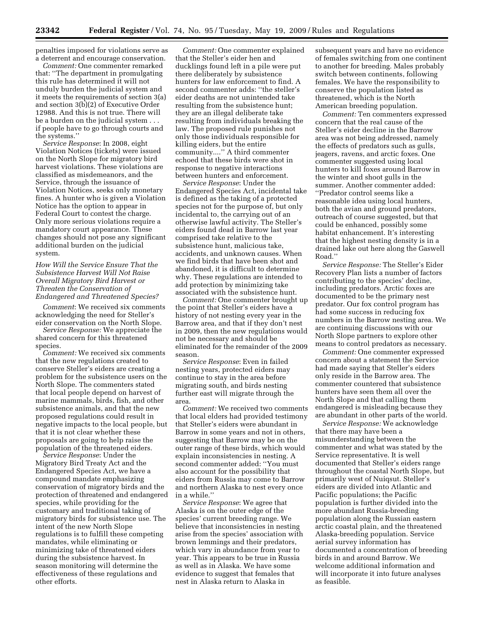penalties imposed for violations serve as a deterrent and encourage conservation.

*Comment:* One commenter remarked that: ''The department in promulgating this rule has determined it will not unduly burden the judicial system and it meets the requirements of section 3(a) and section 3(b)(2) of Executive Order 12988. And this is not true. There will be a burden on the judicial system . . . if people have to go through courts and the systems.''

*Service Response*: In 2008, eight Violation Notices (tickets) were issued on the North Slope for migratory bird harvest violations. These violations are classified as misdemeanors, and the Service, through the issuance of Violation Notices, seeks only monetary fines. A hunter who is given a Violation Notice has the option to appear in Federal Court to contest the charge. Only more serious violations require a mandatory court appearance. These changes should not pose any significant additional burden on the judicial system.

# *How Will the Service Ensure That the Subsistence Harvest Will Not Raise Overall Migratory Bird Harvest or Threaten the Conservation of Endangered and Threatened Species?*

*Comment*: We received six comments acknowledging the need for Steller's eider conservation on the North Slope.

*Service Response:* We appreciate the shared concern for this threatened species.

*Comment:* We received six comments that the new regulations created to conserve Steller's eiders are creating a problem for the subsistence users on the North Slope. The commenters stated that local people depend on harvest of marine mammals, birds, fish, and other subsistence animals, and that the new proposed regulations could result in negative impacts to the local people, but that it is not clear whether these proposals are going to help raise the population of the threatened eiders.

*Service Response*: Under the Migratory Bird Treaty Act and the Endangered Species Act, we have a compound mandate emphasizing conservation of migratory birds and the protection of threatened and endangered species, while providing for the customary and traditional taking of migratory birds for subsistence use. The intent of the new North Slope regulations is to fulfill these competing mandates, while eliminating or minimizing take of threatened eiders during the subsistence harvest. In season monitoring will determine the effectiveness of these regulations and other efforts.

*Comment:* One commenter explained that the Steller's eider hen and ducklings found left in a pile were put there deliberately by subsistence hunters for law enforcement to find. A second commenter adds: ''the steller's eider deaths are not unintended take resulting from the subsistence hunt; they are an illegal deliberate take resulting from individuals breaking the law. The proposed rule punishes not only those individuals responsible for killing eiders, but the entire community....'' A third commenter echoed that these birds were shot in response to negative interactions between hunters and enforcement.

*Service Response*: Under the Endangered Species Act, incidental take is defined as the taking of a protected species not for the purpose of, but only incidental to, the carrying out of an otherwise lawful activity. The Steller's eiders found dead in Barrow last year comprised take relative to the subsistence hunt, malicious take, accidents, and unknown causes. When we find birds that have been shot and abandoned, it is difficult to determine why. These regulations are intended to add protection by minimizing take associated with the subsistence hunt.

*Comment:* One commenter brought up the point that Steller's eiders have a history of not nesting every year in the Barrow area, and that if they don't nest in 2009, then the new regulations would not be necessary and should be eliminated for the remainder of the 2009 season.

*Service Response*: Even in failed nesting years, protected eiders may continue to stay in the area before migrating south, and birds nesting further east will migrate through the area.

*Comment:* We received two comments that local elders had provided testimony that Steller's eiders were abundant in Barrow in some years and not in others, suggesting that Barrow may be on the outer range of these birds, which would explain inconsistencies in nesting. A second commenter added: ''You must also account for the possibility that eiders from Russia may come to Barrow and northern Alaska to nest every once in a while.''

*Service Response*: We agree that Alaska is on the outer edge of the species' current breeding range. We believe that inconsistencies in nesting arise from the species' association with brown lemmings and their predators, which vary in abundance from year to year. This appears to be true in Russia as well as in Alaska. We have some evidence to suggest that females that nest in Alaska return to Alaska in

subsequent years and have no evidence of females switching from one continent to another for breeding. Males probably switch between continents, following females. We have the responsibility to conserve the population listed as threatened, which is the North American breeding population.

*Comment:* Ten commenters expressed concern that the real cause of the Steller's eider decline in the Barrow area was not being addressed, namely the effects of predators such as gulls, jeagers, ravens, and arctic foxes. One commenter suggested using local hunters to kill foxes around Barrow in the winter and shoot gulls in the summer. Another commenter added: ''Predator control seems like a reasonable idea using local hunters, both the avian and ground predators, outreach of course suggested, but that could be enhanced, possibly some habitat enhancement. It's interesting that the highest nesting density is in a drained lake out here along the Gaswell Road.''

*Service Response:* The Steller's Eider Recovery Plan lists a number of factors contributing to the species' decline, including predators. Arctic foxes are documented to be the primary nest predator. Our fox control program has had some success in reducing fox numbers in the Barrow nesting area. We are continuing discussions with our North Slope partners to explore other means to control predators as necessary.

*Comment:* One commenter expressed concern about a statement the Service had made saying that Steller's eiders only reside in the Barrow area. The commenter countered that subsistence hunters have seen them all over the North Slope and that calling them endangered is misleading because they are abundant in other parts of the world.

*Service Response:* We acknowledge that there may have been a misunderstanding between the commenter and what was stated by the Service representative. It is well documented that Steller's eiders range throughout the coastal North Slope, but primarily west of Nuiqsut. Steller's eiders are divided into Atlantic and Pacific populations; the Pacific population is further divided into the more abundant Russia-breeding population along the Russian eastern arctic coastal plain, and the threatened Alaska-breeding population. Service aerial survey information has documented a concentration of breeding birds in and around Barrow. We welcome additional information and will incorporate it into future analyses as feasible.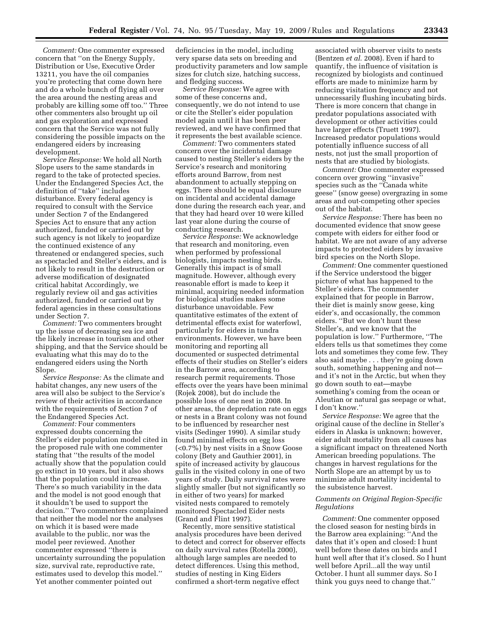*Comment:* One commenter expressed concern that ''on the Energy Supply, Distribution or Use, Executive Order 13211, you have the oil companies you're protecting that come down here and do a whole bunch of flying all over the area around the nesting areas and probably are killing some off too.'' Three other commenters also brought up oil and gas exploration and expressed concern that the Service was not fully considering the possible impacts on the endangered eiders by increasing development.

*Service Response:* We hold all North Slope users to the same standards in regard to the take of protected species. Under the Endangered Species Act, the definition of ''take'' includes disturbance. Every federal agency is required to consult with the Service under Section 7 of the Endangered Species Act to ensure that any action authorized, funded or carried out by such agency is not likely to jeopardize the continued existence of any threatened or endangered species, such as spectacled and Steller's eiders, and is not likely to result in the destruction or adverse modification of designated critical habitat Accordingly, we regularly review oil and gas activities authorized, funded or carried out by federal agencies in these consultations under Section 7.

*Comment:* Two commenters brought up the issue of decreasing sea ice and the likely increase in tourism and other shipping, and that the Service should be evaluating what this may do to the endangered eiders using the North Slope.

*Service Response:* As the climate and habitat changes, any new users of the area will also be subject to the Service's review of their activities in accordance with the requirements of Section 7 of the Endangered Species Act.

*Comment:* Four commenters expressed doubts concerning the Steller's eider population model cited in the proposed rule with one commenter stating that ''the results of the model actually show that the population could go extinct in 10 years, but it also shows that the population could increase. There's so much variability in the data and the model is not good enough that it shouldn't be used to support the decision.'' Two commenters complained that neither the model nor the analyses on which it is based were made available to the public, nor was the model peer reviewed. Another commenter expressed ''there is uncertainty surrounding the population size, survival rate, reproductive rate, estimates used to develop this model.'' Yet another commenter pointed out

deficiencies in the model, including very sparse data sets on breeding and productivity parameters and low sample sizes for clutch size, hatching success, and fledging success.

*Service Response:* We agree with some of these concerns and, consequently, we do not intend to use or cite the Steller's eider population model again until it has been peer reviewed, and we have confirmed that it represents the best available science.

*Comment:* Two commenters stated concern over the incidental damage caused to nesting Steller's eiders by the Service's research and monitoring efforts around Barrow, from nest abandonment to actually stepping on eggs. There should be equal disclosure on incidental and accidental damage done during the research each year, and that they had heard over 10 were killed last year alone during the course of conducting research.

*Service Response:* We acknowledge that research and monitoring, even when performed by professional biologists, impacts nesting birds. Generally this impact is of small magnitude. However, although every reasonable effort is made to keep it minimal, acquiring needed information for biological studies makes some disturbance unavoidable. Few quantitative estimates of the extent of detrimental effects exist for waterfowl, particularly for eiders in tundra environments. However, we have been monitoring and reporting all documented or suspected detrimental effects of their studies on Steller's eiders in the Barrow area, according to research permit requirements. Those effects over the years have been minimal (Rojek 2008), but do include the possible loss of one nest in 2008. In other areas, the depredation rate on eggs or nests in a Brant colony was not found to be influenced by researcher nest visits (Sedinger 1990). A similar study found minimal effects on egg loss (<0.7%) by nest visits in a Snow Goose colony (Bety and Gauthier 2001), in spite of increased activity by glaucous gulls in the visited colony in one of two years of study. Daily survival rates were slightly smaller (but not significantly so in either of two years) for marked visited nests compared to remotely monitored Spectacled Eider nests (Grand and Flint 1997).

Recently, more sensitive statistical analysis procedures have been derived to detect and correct for observer effects on daily survival rates (Rotella 2000), although large samples are needed to detect differences. Using this method, studies of nesting in King Eiders confirmed a short-term negative effect

associated with observer visits to nests (Bentzen *et al*. 2008). Even if hard to quantify, the influence of visitation is recognized by biologists and continued efforts are made to minimize harm by reducing visitation frequency and not unnecessarily flushing incubating birds. There is more concern that change in predator populations associated with development or other activities could have larger effects (Truett 1997). Increased predator populations would potentially influence success of all nests, not just the small proportion of nests that are studied by biologists.

*Comment:* One commenter expressed concern over growing ''invasive'' species such as the ''Canada white geese'' (snow geese) overgrazing in some areas and out-competing other species out of the habitat.

*Service Response:* There has been no documented evidence that snow geese compete with eiders for either food or habitat. We are not aware of any adverse impacts to protected eiders by invasive bird species on the North Slope.

*Comment:* One commenter questioned if the Service understood the bigger picture of what has happened to the Steller's eiders. The commenter explained that for people in Barrow, their diet is mainly snow geese, king eider's, and occasionally, the common eiders. ''But we don't hunt these Steller's, and we know that the population is low.'' Furthermore, ''The elders tells us that sometimes they come lots and sometimes they come few. They also said maybe . . . they're going down south, something happening and not and it's not in the Arctic, but when they go down south to eat—maybe something's coming from the ocean or Aleutian or natural gas seepage or what, I don't know.''

*Service Response:* We agree that the original cause of the decline in Steller's eiders in Alaska is unknown; however, eider adult mortality from all causes has a significant impact on threatened North American breeding populations. The changes in harvest regulations for the North Slope are an attempt by us to minimize adult mortality incidental to the subsistence harvest.

# *Comments on Original Region-Specific Regulations*

*Comment:* One commenter opposed the closed season for nesting birds in the Barrow area explaining: ''And the dates that it's open and closed: I hunt well before these dates on birds and I hunt well after that it's closed. So I hunt well before April...all the way until October. I hunt all summer days. So I think you guys need to change that.''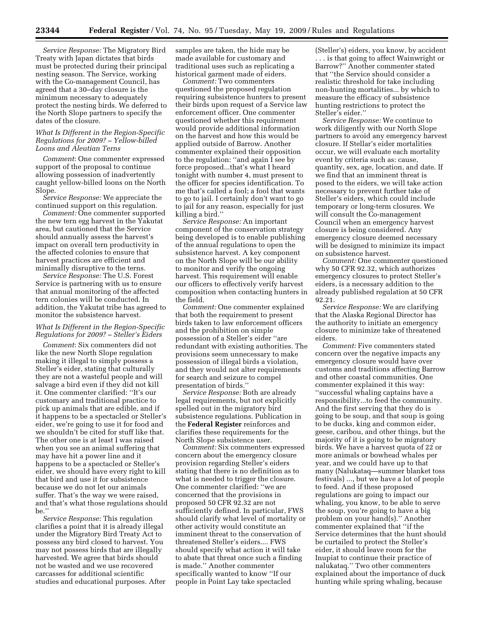*Service Response:* The Migratory Bird Treaty with Japan dictates that birds must be protected during their principal nesting season. The Service, working with the Co-management Council, has agreed that a 30–day closure is the minimum necessary to adequately protect the nesting birds. We deferred to the North Slope partners to specify the dates of the closure.

#### *What Is Different in the Region-Specific Regulations for 2009? – Yellow-billed Loons and Aleutian Terns*

*Comment*: One commenter expressed support of the proposal to continue allowing possession of inadvertently caught yellow-billed loons on the North Slope.

*Service Response:* We appreciate the continued support on this regulation.

*Comment:* One commenter supported the new tern egg harvest in the Yakutat area, but cautioned that the Service should annually assess the harvest's impact on overall tern productivity in the affected colonies to ensure that harvest practices are efficient and minimally disruptive to the terns.

*Service Response:* The U.S. Forest Service is partnering with us to ensure that annual monitoring of the affected tern colonies will be conducted. In addition, the Yakutat tribe has agreed to monitor the subsistence harvest.

# *What Is Different in the Region-Specific Regulations for 2009? – Steller's Eiders*

*Comment*: Six commenters did not like the new North Slope regulation making it illegal to simply possess a Steller's eider, stating that culturally they are not a wasteful people and will salvage a bird even if they did not kill it. One commenter clarified: ''It's our customary and traditional practice to pick up animals that are edible, and if it happens to be a spectacled or Steller's eider, we're going to use it for food and we shouldn't be cited for stuff like that. The other one is at least I was raised when you see an animal suffering that may have hit a power line and it happens to be a spectacled or Steller's eider, we should have every right to kill that bird and use it for subsistence because we do not let our animals suffer. That's the way we were raised, and that's what those regulations should be.''

*Service Response:* This regulation clarifies a point that it is already illegal under the Migratory Bird Treaty Act to possess any bird closed to harvest. You may not possess birds that are illegally harvested. We agree that birds should not be wasted and we use recovered carcasses for additional scientific studies and educational purposes. After samples are taken, the hide may be made available for customary and traditional uses such as replicating a historical garment made of eiders.

*Comment:* Two commenters questioned the proposed regulation requiring subsistence hunters to present their birds upon request of a Service law enforcement officer. One commenter questioned whether this requirement would provide additional information on the harvest and how this would be applied outside of Barrow. Another commenter explained their opposition to the regulation: ''and again I see by force proposed...that's what I heard tonight with number 4, must present to the officer for species identification. To me that's called a fool; a fool that wants to go to jail. I certainly don't want to go to jail for any reason, especially for just killing a bird.''

*Service Response:* An important component of the conservation strategy being developed is to enable publishing of the annual regulations to open the subsistence harvest. A key component on the North Slope will be our ability to monitor and verify the ongoing harvest. This requirement will enable our officers to effectively verify harvest composition when contacting hunters in the field.

*Comment:* One commenter explained that both the requirement to present birds taken to law enforcement officers and the prohibition on simple possession of a Steller's eider ''are redundant with existing authorities. The provisions seem unnecessary to make possession of illegal birds a violation, and they would not alter requirements for search and seizure to compel presentation of birds.''

*Service Response:* Both are already legal requirements, but not explicitly spelled out in the migratory bird subsistence regulations. Publication in the **Federal Register** reinforces and clarifies these requirements for the North Slope subsistence user.

*Comment:* Six commenters expressed concern about the emergency closure provision regarding Steller's eiders stating that there is no definition as to what is needed to trigger the closure. One commenter clarified: ''we are concerned that the provisions in proposed 50 CFR 92.32 are not sufficiently defined. In particular, FWS should clarify what level of mortality or other activity would constitute an imminent threat to the conservation of threatened Steller's eiders.... FWS should specify what action it will take to abate that threat once such a finding is made.'' Another commenter specifically wanted to know ''If our people in Point Lay take spectacled

(Steller's) eiders, you know, by accident . . . is that going to affect Wainwright or Barrow?'' Another commenter stated that ''the Service should consider a realistic threshold for take including non-hunting mortalities... by which to measure the efficacy of subsistence hunting restrictions to protect the Steller's eider.''

*Service Response:* We continue to work diligently with our North Slope partners to avoid any emergency harvest closure. If Stellar's eider mortalities occur, we will evaluate each mortality event by criteria such as: cause, quantity, sex, age, location, and date. If we find that an imminent threat is posed to the eiders, we will take action necessary to prevent further take of Steller's eiders, which could include temporary or long-term closures. We will consult the Co-management Council when an emergency harvest closure is being considered. Any emergency closure deemed necessary will be designed to minimize its impact on subsistence harvest.

*Comment:* One commenter questioned why 50 CFR 92.32, which authorizes emergency closures to protect Steller's eiders, is a necessary addition to the already published regulation at 50 CFR 92.21.

*Service Response:* We are clarifying that the Alaska Regional Director has the authority to initiate an emergency closure to minimize take of threatened eiders.

*Comment:* Five commenters stated concern over the negative impacts any emergency closure would have over customs and traditions affecting Barrow and other coastal communities. One commenter explained it this way: ''successful whaling captains have a responsibility...to feed the community. And the first serving that they do is going to be soup, and that soup is going to be ducks, king and common eider, geese, caribou, and other things, but the majority of it is going to be migratory birds. We have a harvest quota of 22 or more animals or bowhead whales per year, and we could have up to that many (Nalukataq—summer blanket toss festivals) ..., but we have a lot of people to feed. And if these proposed regulations are going to impact our whaling, you know, to be able to serve the soup, you're going to have a big problem on your hand(s).'' Another commenter explained that ''if the Service determines that the hunt should be curtailed to protect the Steller's eider, it should leave room for the Inupiat to continue their practice of nalukataq.'' Two other commenters explained about the importance of duck hunting while spring whaling, because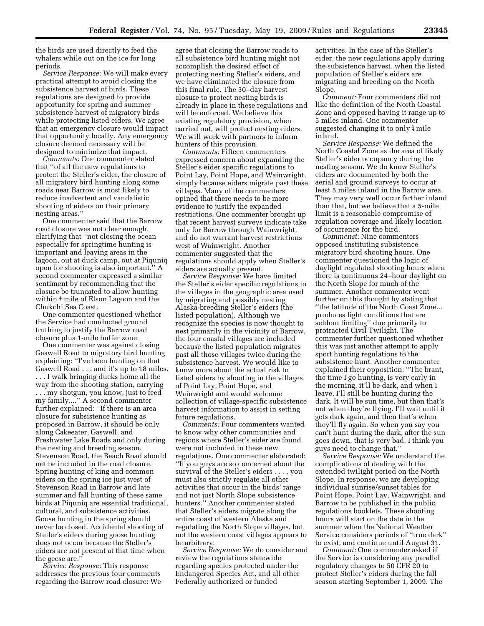the birds are used directly to feed the whalers while out on the ice for long periods.

*Service Response:* We will make every practical attempt to avoid closing the subsistence harvest of birds. These regulations are designed to provide opportunity for spring and summer subsistence harvest of migratory birds while protecting listed eiders. We agree that an emergency closure would impact that opportunity locally. Any emergency closure deemed necessary will be designed to minimize that impact.

*Comments:* One commenter stated that ''of all the new regulations to protect the Steller's eider, the closure of all migratory bird hunting along some roads near Barrow is most likely to reduce inadvertent and vandalistic shooting of eiders on their primary nesting areas.''

One commenter said that the Barrow road closure was not clear enough, clarifying that ''not closing the ocean especially for springtime hunting is important and leaving areas in the lagoon, out at duck camp, out at Piquniq open for shooting is also important.'' A second commenter expressed a similar sentiment by recommending that the closure be truncated to allow hunting within  $\frac{1}{2}$  mile of Elson Lagoon and the Chukchi Sea Coast.

One commenter questioned whether the Service had conducted ground truthing to justify the Barrow road closure plus 1-mile buffer zone.

One commenter was against closing Gaswell Road to migratory bird hunting explaining: ''I've been hunting on that Gaswell Road . . . and it's up to 18 miles.

. . . I walk bringing ducks home all the way from the shooting station, carrying . . . my shotgun, you know, just to feed my family....'' A second commenter further explained: ''If there is an area closure for subsistence hunting as proposed in Barrow, it should be only along Cakeeater, Gaswell, and Freshwater Lake Roads and only during the nesting and breeding season. Stevenson Road, the Beach Road should not be included in the road closure. Spring hunting of king and common eiders on the spring ice just west of Stevenson Road in Barrow and late summer and fall hunting of these same birds at Piquniq are essential traditional, cultural, and subsistence activities. Goose hunting in the spring should never be closed. Accidental shooting of Steller's eiders during goose hunting does not occur because the Steller's eiders are not present at that time when the geese are.''

*Service Response:* This response addresses the previous four comments regarding the Barrow road closure: We

agree that closing the Barrow roads to all subsistence bird hunting might not accomplish the desired effect of protecting nesting Steller's eiders, and we have eliminated the closure from this final rule. The 30–day harvest closure to protect nesting birds is already in place in these regulations and will be enforced. We believe this existing regulatory provision, when carried out, will protect nesting eiders. We will work with partners to inform hunters of this provision.

*Comments:* Fifteen commenters expressed concern about expanding the Steller's eider specific regulations to Point Lay, Point Hope, and Wainwright, simply because eiders migrate past these villages. Many of the commenters opined that there needs to be more evidence to justify the expanded restrictions. One commenter brought up that recent harvest surveys indicate take only for Barrow through Wainwright, and do not warrant harvest restrictions west of Wainwright. Another commenter suggested that the regulations should apply when Steller's eiders are actually present.

*Service Response:* We have limited the Steller's eider specific regulations to the villages in the geographic area used by migrating and possibly nesting Alaska-breeding Steller's eiders (the listed population). Although we recognize the species is now thought to nest primarily in the vicinity of Barrow, the four coastal villages are included because the listed population migrates past all those villages twice during the subsistence harvest. We would like to know more about the actual risk to listed eiders by shooting in the villages of Point Lay, Point Hope, and Wainwright and would welcome collection of village-specific subsistence harvest information to assist in setting future regulations.

*Comments:* Four commenters wanted to know why other communities and regions where Steller's eider are found were not included in these new regulations. One commenter elaborated: ''If you guys are so concerned about the survival of the Steller's eiders . . . , you must also strictly regulate all other activities that occur in the birds' range and not just North Slope subsistence hunters.'' Another commenter stated that Steller's eiders migrate along the entire coast of western Alaska and regulating the North Slope villages, but not the western coast villages appears to be arbitrary.

*Service Response:* We do consider and review the regulations statewide regarding species protected under the Endangered Species Act, and all other Federally authorized or funded

activities. In the case of the Steller's eider, the new regulations apply during the subsistence harvest, when the listed population of Steller's eiders are migrating and breeding on the North Slope.

*Comment:* Four commenters did not like the definition of the North Coastal Zone and opposed having it range up to 5 miles inland. One commenter suggested changing it to only  $\frac{1}{4}$  mile inland.

*Service Response:* We defined the North Coastal Zone as the area of likely Steller's eider occupancy during the nesting season. We do know Steller's eiders are documented by both the aerial and ground surveys to occur at least 5 miles inland in the Barrow area. They may very well occur farther inland than that, but we believe that a 5-mile limit is a reasonable compromise of regulation coverage and likely location of occurrence for the bird.

*Commenst:* Nine commenters opposed instituting subsistence migratory bird shooting hours. One commenter questioned the logic of daylight regulated shooting hours when there is continuous 24–hour daylight on the North Slope for much of the summer. Another commenter went further on this thought by stating that ''the latitude of the North Coast Zone... produces light conditions that are seldom limiting'' due primarily to protracted Civil Twilight. The commenter further questioned whether this was just another attempt to apply sport hunting regulations to the subsistence hunt. Another commenter explained their opposition: ''The brant, the time I go hunting, is very early in the morning; it'll be dark, and when I leave, I'll still be hunting during the dark. It will be sun time, but then that's not when they're flying. I'll wait until it gets dark again, and then that's when they'll fly again. So when you say you can't hunt during the dark, after the sun goes down, that is very bad. I think you guys need to change that.''

*Service Response:* We understand the complications of dealing with the extended twilight period on the North Slope. In response, we are developing individual sunrise/sunset tables for Point Hope, Point Lay, Wainwright, and Barrow to be published in the public regulations booklets. These shooting hours will start on the date in the summer when the National Weather Service considers periods of ''true dark'' to exist, and continue until August 31.

*Comment:* One commenter asked if the Service is considering any parallel regulatory changes to 50 CFR 20 to protect Steller's eiders during the fall season starting September 1, 2009. The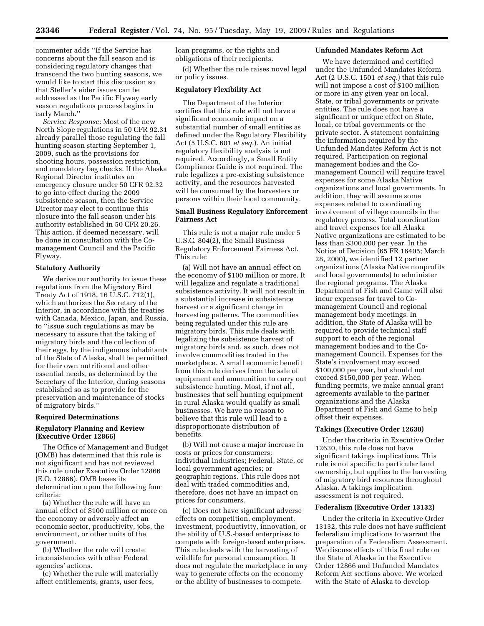commenter adds ''If the Service has concerns about the fall season and is considering regulatory changes that transcend the two hunting seasons, we would like to start this discussion so that Steller's eider issues can be addressed as the Pacific Flyway early season regulations process begins in early March.''

*Service Response:* Most of the new North Slope regulations in 50 CFR 92.31 already parallel those regulating the fall hunting season starting September 1, 2009, such as the provisions for shooting hours, possession restriction, and mandatory bag checks. If the Alaska Regional Director institutes an emergency closure under 50 CFR 92.32 to go into effect during the 2009 subsistence season, then the Service Director may elect to continue this closure into the fall season under his authority established in 50 CFR 20.26. This action, if deemed necessary, will be done in consultation with the Comanagement Council and the Pacific Flyway.

## **Statutory Authority**

We derive our authority to issue these regulations from the Migratory Bird Treaty Act of 1918, 16 U.S.C. 712(1), which authorizes the Secretary of the Interior, in accordance with the treaties with Canada, Mexico, Japan, and Russia, to ''issue such regulations as may be necessary to assure that the taking of migratory birds and the collection of their eggs, by the indigenous inhabitants of the State of Alaska, shall be permitted for their own nutritional and other essential needs, as determined by the Secretary of the Interior, during seasons established so as to provide for the preservation and maintenance of stocks of migratory birds.''

#### **Required Determinations**

### **Regulatory Planning and Review (Executive Order 12866)**

The Office of Management and Budget (OMB) has determined that this rule is not significant and has not reviewed this rule under Executive Order 12866 (E.O. 12866). OMB bases its determination upon the following four criteria:

(a) Whether the rule will have an annual effect of \$100 million or more on the economy or adversely affect an economic sector, productivity, jobs, the environment, or other units of the government.

(b) Whether the rule will create inconsistencies with other Federal agencies' actions.

(c) Whether the rule will materially affect entitlements, grants, user fees,

loan programs, or the rights and obligations of their recipients.

(d) Whether the rule raises novel legal or policy issues.

# **Regulatory Flexibility Act**

The Department of the Interior certifies that this rule will not have a significant economic impact on a substantial number of small entities as defined under the Regulatory Flexibility Act (5 U.S.C. 601 *et seq.*). An initial regulatory flexibility analysis is not required. Accordingly, a Small Entity Compliance Guide is not required. The rule legalizes a pre-existing subsistence activity, and the resources harvested will be consumed by the harvesters or persons within their local community.

# **Small Business Regulatory Enforcement Fairness Act**

This rule is not a major rule under 5 U.S.C. 804(2), the Small Business Regulatory Enforcement Fairness Act. This rule:

(a) Will not have an annual effect on the economy of \$100 million or more. It will legalize and regulate a traditional subsistence activity. It will not result in a substantial increase in subsistence harvest or a significant change in harvesting patterns. The commodities being regulated under this rule are migratory birds. This rule deals with legalizing the subsistence harvest of migratory birds and, as such, does not involve commodities traded in the marketplace. A small economic benefit from this rule derives from the sale of equipment and ammunition to carry out subsistence hunting. Most, if not all, businesses that sell hunting equipment in rural Alaska would qualify as small businesses. We have no reason to believe that this rule will lead to a disproportionate distribution of benefits.

(b) Will not cause a major increase in costs or prices for consumers; individual industries; Federal, State, or local government agencies; or geographic regions. This rule does not deal with traded commodities and, therefore, does not have an impact on prices for consumers.

(c) Does not have significant adverse effects on competition, employment, investment, productivity, innovation, or the ability of U.S.-based enterprises to compete with foreign-based enterprises. This rule deals with the harvesting of wildlife for personal consumption. It does not regulate the marketplace in any way to generate effects on the economy or the ability of businesses to compete.

#### **Unfunded Mandates Reform Act**

We have determined and certified under the Unfunded Mandates Reform Act (2 U.S.C. 1501 *et seq.*) that this rule will not impose a cost of \$100 million or more in any given year on local, State, or tribal governments or private entities. The rule does not have a significant or unique effect on State, local, or tribal governments or the private sector. A statement containing the information required by the Unfunded Mandates Reform Act is not required. Participation on regional management bodies and the Comanagement Council will require travel expenses for some Alaska Native organizations and local governments. In addition, they will assume some expenses related to coordinating involvement of village councils in the regulatory process. Total coordination and travel expenses for all Alaska Native organizations are estimated to be less than \$300,000 per year. In the Notice of Decision (65 FR 16405; March 28, 2000), we identified 12 partner organizations (Alaska Native nonprofits and local governments) to administer the regional programs. The Alaska Department of Fish and Game will also incur expenses for travel to Comanagement Council and regional management body meetings. In addition, the State of Alaska will be required to provide technical staff support to each of the regional management bodies and to the Comanagement Council. Expenses for the State's involvement may exceed \$100,000 per year, but should not exceed \$150,000 per year. When funding permits, we make annual grant agreements available to the partner organizations and the Alaska Department of Fish and Game to help offset their expenses.

#### **Takings (Executive Order 12630)**

Under the criteria in Executive Order 12630, this rule does not have significant takings implications. This rule is not specific to particular land ownership, but applies to the harvesting of migratory bird resources throughout Alaska. A takings implication assessment is not required.

### **Federalism (Executive Order 13132)**

Under the criteria in Executive Order 13132, this rule does not have sufficient federalism implications to warrant the preparation of a Federalism Assessment. We discuss effects of this final rule on the State of Alaska in the Executive Order 12866 and Unfunded Mandates Reform Act sections above. We worked with the State of Alaska to develop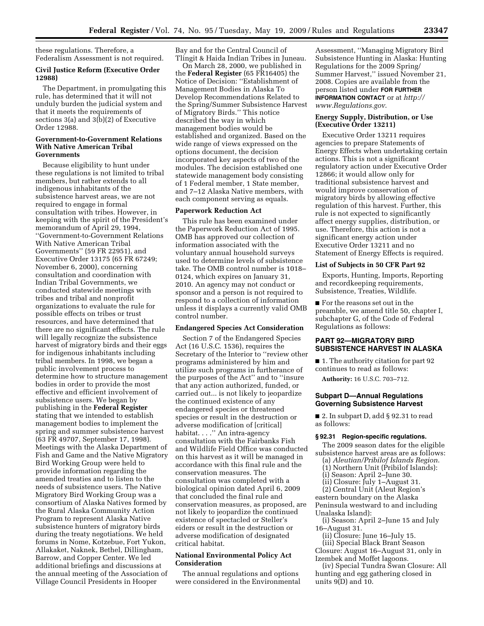these regulations. Therefore, a Federalism Assessment is not required.

### **Civil Justice Reform (Executive Order 12988)**

The Department, in promulgating this rule, has determined that it will not unduly burden the judicial system and that it meets the requirements of sections 3(a) and 3(b)(2) of Executive Order 12988.

### **Government-to-Government Relations With Native American Tribal Governments**

Because eligibility to hunt under these regulations is not limited to tribal members, but rather extends to all indigenous inhabitants of the subsistence harvest areas, we are not required to engage in formal consultation with tribes. However, in keeping with the spirit of the President's memorandum of April 29, 1994, ''Government-to-Government Relations With Native American Tribal Governments'' (59 FR 22951), and Executive Order 13175 (65 FR 67249; November 6, 2000), concerning consultation and coordination with Indian Tribal Governments, we conducted statewide meetings with tribes and tribal and nonprofit organizations to evaluate the rule for possible effects on tribes or trust resources, and have determined that there are no significant effects. The rule will legally recognize the subsistence harvest of migratory birds and their eggs for indigenous inhabitants including tribal members. In 1998, we began a public involvement process to determine how to structure management bodies in order to provide the most effective and efficient involvement of subsistence users. We began by publishing in the **Federal Register**  stating that we intended to establish management bodies to implement the spring and summer subsistence harvest (63 FR 49707, September 17, 1998). Meetings with the Alaska Department of Fish and Game and the Native Migratory Bird Working Group were held to provide information regarding the amended treaties and to listen to the needs of subsistence users. The Native Migratory Bird Working Group was a consortium of Alaska Natives formed by the Rural Alaska Community Action Program to represent Alaska Native subsistence hunters of migratory birds during the treaty negotiations. We held forums in Nome, Kotzebue, Fort Yukon, Allakaket, Naknek, Bethel, Dillingham, Barrow, and Copper Center. We led additional briefings and discussions at the annual meeting of the Association of Village Council Presidents in Hooper

Bay and for the Central Council of Tlingit & Haida Indian Tribes in Juneau.

On March 28, 2000, we published in the **Federal Register** (65 FR16405) the Notice of Decision: ''Establishment of Management Bodies in Alaska To Develop Recommendations Related to the Spring/Summer Subsistence Harvest of Migratory Birds.'' This notice described the way in which management bodies would be established and organized. Based on the wide range of views expressed on the options document, the decision incorporated key aspects of two of the modules. The decision established one statewide management body consisting of 1 Federal member, 1 State member, and 7–12 Alaska Native members, with each component serving as equals.

# **Paperwork Reduction Act**

This rule has been examined under the Paperwork Reduction Act of 1995. OMB has approved our collection of information associated with the voluntary annual household surveys used to determine levels of subsistence take. The OMB control number is 1018– 0124, which expires on January 31, 2010. An agency may not conduct or sponsor and a person is not required to respond to a collection of information unless it displays a currently valid OMB control number.

#### **Endangered Species Act Consideration**

Section 7 of the Endangered Species Act (16 U.S.C. 1536), requires the Secretary of the Interior to ''review other programs administered by him and utilize such programs in furtherance of the purposes of the Act'' and to ''insure that any action authorized, funded, or carried out... is not likely to jeopardize the continued existence of any endangered species or threatened species or result in the destruction or adverse modification of [critical] habitat. . . .'' An intra-agency consultation with the Fairbanks Fish and Wildlife Field Office was conducted on this harvest as it will be managed in accordance with this final rule and the conservation measures. The consultation was completed with a biological opinion dated April 6, 2009 that concluded the final rule and conservation measures, as proposed, are not likely to jeopardize the continued existence of spectacled or Steller's eiders or result in the destruction or adverse modification of designated critical habitat.

# **National Environmental Policy Act Consideration**

The annual regulations and options were considered in the Environmental

Assessment, ''Managing Migratory Bird Subsistence Hunting in Alaska: Hunting Regulations for the 2009 Spring/ Summer Harvest,'' issued November 21, 2008. Copies are available from the person listed under **FOR FURTHER INFORMATION CONTACT** or at *http:// [www.Regulations.gov](http://www.Regulations.gov)*.

### **Energy Supply, Distribution, or Use (Executive Order 13211)**

Executive Order 13211 requires agencies to prepare Statements of Energy Effects when undertaking certain actions. This is not a significant regulatory action under Executive Order 12866; it would allow only for traditional subsistence harvest and would improve conservation of migratory birds by allowing effective regulation of this harvest. Further, this rule is not expected to significantly affect energy supplies, distribution, or use. Therefore, this action is not a significant energy action under Executive Order 13211 and no Statement of Energy Effects is required.

#### **List of Subjects in 50 CFR Part 92**

Exports, Hunting, Imports, Reporting and recordkeeping requirements, Subsistence, Treaties, Wildlife.

■ For the reasons set out in the preamble, we amend title 50, chapter I, subchapter G, of the Code of Federal Regulations as follows:

# **PART 92—MIGRATORY BIRD SUBSISTENCE HARVEST IN ALASKA**

■ 1. The authority citation for part 92 continues to read as follows:

**Authority:** 16 U.S.C. 703–712.

# **Subpart D—Annual Regulations Governing Subsistence Harvest**

■ 2. In subpart D, add § 92.31 to read as follows:

### **§ 92.31 Region-specific regulations.**

The 2009 season dates for the eligible subsistence harvest areas are as follows:

- (a) *Aleutian/Pribilof Islands Region*.
- (1) Northern Unit (Pribilof Islands):
- (i) Season: April 2–June 30.
- (ii) Closure: July 1–August 31.

(2) Central Unit (Aleut Region's eastern boundary on the Alaska Peninsula westward to and including

- Unalaska Island):
- (i) Season: April 2–June 15 and July 16–August 31.
	- (ii) Closure: June 16–July 15.

(iii) Special Black Brant Season

Closure: August 16–August 31, only in Izembek and Moffet lagoons.

(iv) Special Tundra Swan Closure: All hunting and egg gathering closed in units 9(D) and 10.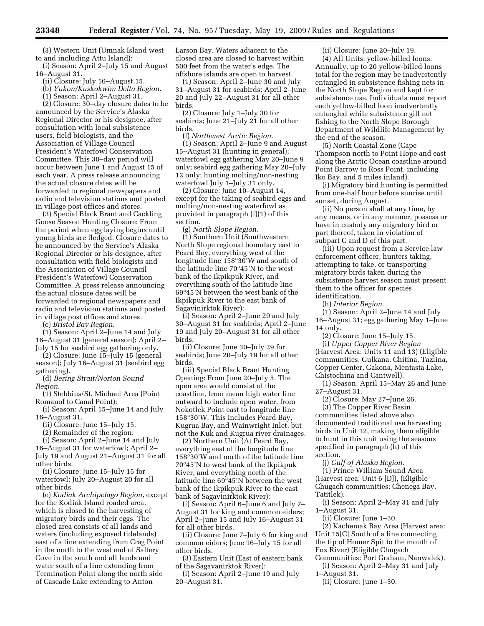(3) Western Unit (Umnak Island west to and including Attu Island):

(i) Season: April 2–July 15 and August 16–August 31.

(ii) Closure: July 16–August 15.

(b) *Yukon/Kuskokwim Delta Region*.

(1) Season: April 2–August 31.

(2) Closure: 30–day closure dates to be announced by the Service's Alaska Regional Director or his designee, after consultation with local subsistence users, field biologists, and the Association of Village Council President's Waterfowl Conservation Committee. This 30–day period will occur between June 1 and August 15 of each year. A press release announcing the actual closure dates will be forwarded to regional newspapers and radio and television stations and posted in village post offices and stores.

(3) Special Black Brant and Cackling Goose Season Hunting Closure: From the period when egg laying begins until young birds are fledged. Closure dates to be announced by the Service's Alaska Regional Director or his designee, after consultation with field biologists and the Association of Village Council President's Waterfowl Conservation Committee. A press release announcing the actual closure dates will be forwarded to regional newspapers and radio and television stations and posted in village post offices and stores.

(c) *Bristol Bay Region*.

(1) Season: April 2–June 14 and July 16–August 31 (general season); April 2– July 15 for seabird egg gathering only.

(2) Closure: June 15–July 15 (general season); July 16–August 31 (seabird egg gathering).

(d) *Bering Strait/Norton Sound Region*.

(1) Stebbins/St. Michael Area (Point Romanof to Canal Point):

(i) Season: April 15–June 14 and July 16–August 31.

(ii) Closure: June 15–July 15.

(2) Remainder of the region:

(i) Season: April 2–June 14 and July

16–August 31 for waterfowl; April 2– July 19 and August 21–August 31 for all other birds.

(ii) Closure: June 15–July 15 for waterfowl; July 20–August 20 for all other birds.

(e) *Kodiak Archipelago Region*, except for the Kodiak Island roaded area, which is closed to the harvesting of migratory birds and their eggs. The closed area consists of all lands and waters (including exposed tidelands) east of a line extending from Crag Point in the north to the west end of Saltery Cove in the south and all lands and water south of a line extending from Termination Point along the north side of Cascade Lake extending to Anton

Larson Bay. Waters adjacent to the closed area are closed to harvest within 500 feet from the water's edge. The offshore islands are open to harvest.

(1) Season: April 2–June 30 and July 31–August 31 for seabirds; April 2–June 20 and July 22–August 31 for all other birds.

(2) Closure: July 1–July 30 for seabirds; June 21–July 21 for all other birds.

(f) *Northwest Arctic Region*.

(1) Season: April 2–June 9 and August 15–August 31 (hunting in general); waterfowl egg gathering May 20–June 9 only; seabird egg gathering May 20–July 12 only; hunting molting/non-nesting waterfowl July 1–July 31 only.

(2) Closure: June 10–August 14, except for the taking of seabird eggs and molting/non-nesting waterfowl as provided in paragraph (f)(1) of this section.

(g) *North Slope Region*.

(1) Southern Unit (Southwestern North Slope regional boundary east to Peard Bay, everything west of the longitude line 158°30'W and south of the latitude line 70°45'N to the west bank of the Ikpikpuk River, and everything south of the latitude line 69°45'N between the west bank of the Ikpikpuk River to the east bank of Sagavinirktok River):

(i) Season: April 2–June 29 and July 30–August 31 for seabirds; April 2–June 19 and July 20–August 31 for all other birds.

(ii) Closure: June 30–July 29 for seabirds; June 20–July 19 for all other birds.

(iii) Special Black Brant Hunting Opening: From June 20–July 5. The open area would consist of the coastline, from mean high water line outward to include open water, from Nokotlek Point east to longitude line 158°30'W. This includes Peard Bay, Kugrua Bay, and Wainwright Inlet, but not the Kuk and Kugrua river drainages.

(2) Northern Unit (At Peard Bay, everything east of the longitude line 158°30'W and north of the latitude line 70°45'N to west bank of the Ikpikpuk River, and everything north of the latitude line 69°45'N between the west bank of the Ikpikpuk River to the east bank of Sagavinirktok River):

(i) Season: April 6–June 6 and July 7– August 31 for king and common eiders; April 2–June 15 and July 16–August 31 for all other birds.

(ii) Closure: June 7–July 6 for king and common eiders; June 16–July 15 for all other birds.

(3) Eastern Unit (East of eastern bank of the Sagavanirktok River):

(i) Season: April 2–June 19 and July 20–August 31.

(ii) Closure: June 20–July 19.

(4) All Units: yellow-billed loons. Annually, up to 20 yellow-billed loons total for the region may be inadvertently entangled in subsistence fishing nets in the North Slope Region and kept for subsistence use. Individuals must report each yellow-billed loon inadvertently entangled while subsistence gill net fishing to the North Slope Borough Department of Wildlife Management by the end of the season.

(5) North Coastal Zone (Cape Thompson north to Point Hope and east along the Arctic Ocean coastline around Point Barrow to Ross Point, including Iko Bay, and 5 miles inland).

(i) Migratory bird hunting is permitted from one-half hour before sunrise until sunset, during August.

(ii) No person shall at any time, by any means, or in any manner, possess or have in custody any migratory bird or part thereof, taken in violation of subpart C and D of this part.

(iii) Upon request from a Service law enforcement officer, hunters taking, attempting to take, or transporting migratory birds taken during the subsistence harvest season must present them to the officer for species identification.

(h) *Interior Region*.

(1) Season: April 2–June 14 and July 16–August 31; egg gathering May 1–June 14 only.

(2) Closure: June 15–July 15. (i) *Upper Copper River Region*  (Harvest Area: Units 11 and 13) (Eligible communities: Gulkana, Chitina, Tazlina, Copper Center, Gakona, Mentasta Lake,

Chistochina and Cantwell). (1) Season: April 15–May 26 and June 27–August 31.

(2) Closure: May 27–June 26.

(3) The Copper River Basin communities listed above also documented traditional use harvesting birds in Unit 12, making them eligible to hunt in this unit using the seasons specified in paragraph (h) of this section.

(j) *Gulf of Alaska Region*. (1) Prince William Sound Area (Harvest area: Unit 6 [D]), (Eligible Chugach communities: Chenega Bay, Tatitlek).

(i) Season: April 2–May 31 and July 1–August 31.

(ii) Closure: June 1–30.

(2) Kachemak Bay Area (Harvest area: Unit 15[C] South of a line connecting the tip of Homer Spit to the mouth of Fox River) (Eligible Chugach Communities: Port Graham, Nanwalek).

(i) Season: April 2–May 31 and July 1–August 31.

(ii) Closure: June 1–30.